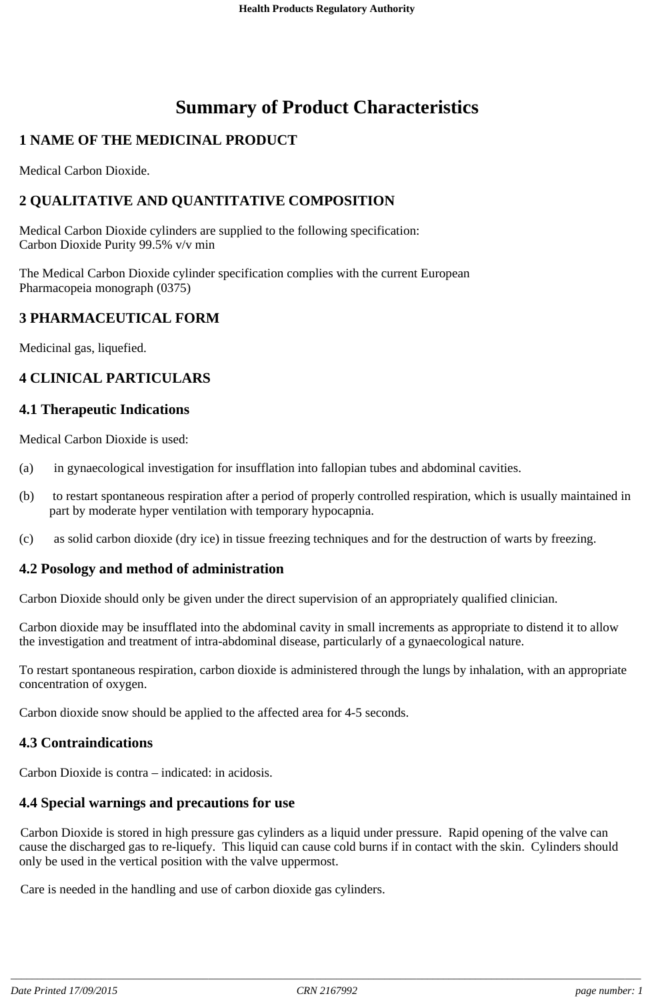# **Summary of Product Characteristics**

## **1 NAME OF THE MEDICINAL PRODUCT**

Medical Carbon Dioxide.

## **2 QUALITATIVE AND QUANTITATIVE COMPOSITION**

Medical Carbon Dioxide cylinders are supplied to the following specification: Carbon Dioxide Purity 99.5% v/v min

The Medical Carbon Dioxide cylinder specification complies with the current European Pharmacopeia monograph (0375)

#### **3 PHARMACEUTICAL FORM**

Medicinal gas, liquefied.

## **4 CLINICAL PARTICULARS**

#### **4.1 Therapeutic Indications**

Medical Carbon Dioxide is used:

- (a) in gynaecological investigation for insufflation into fallopian tubes and abdominal cavities.
- (b) to restart spontaneous respiration after a period of properly controlled respiration, which is usually maintained in part by moderate hyper ventilation with temporary hypocapnia.
- (c) as solid carbon dioxide (dry ice) in tissue freezing techniques and for the destruction of warts by freezing.

#### **4.2 Posology and method of administration**

Carbon Dioxide should only be given under the direct supervision of an appropriately qualified clinician.

Carbon dioxide may be insufflated into the abdominal cavity in small increments as appropriate to distend it to allow the investigation and treatment of intra-abdominal disease, particularly of a gynaecological nature.

To restart spontaneous respiration, carbon dioxide is administered through the lungs by inhalation, with an appropriate concentration of oxygen.

Carbon dioxide snow should be applied to the affected area for 4-5 seconds.

#### **4.3 Contraindications**

Carbon Dioxide is contra – indicated: in acidosis.

#### **4.4 Special warnings and precautions for use**

Carbon Dioxide is stored in high pressure gas cylinders as a liquid under pressure. Rapid opening of the valve can cause the discharged gas to re-liquefy. This liquid can cause cold burns if in contact with the skin. Cylinders should only be used in the vertical position with the valve uppermost.

Care is needed in the handling and use of carbon dioxide gas cylinders.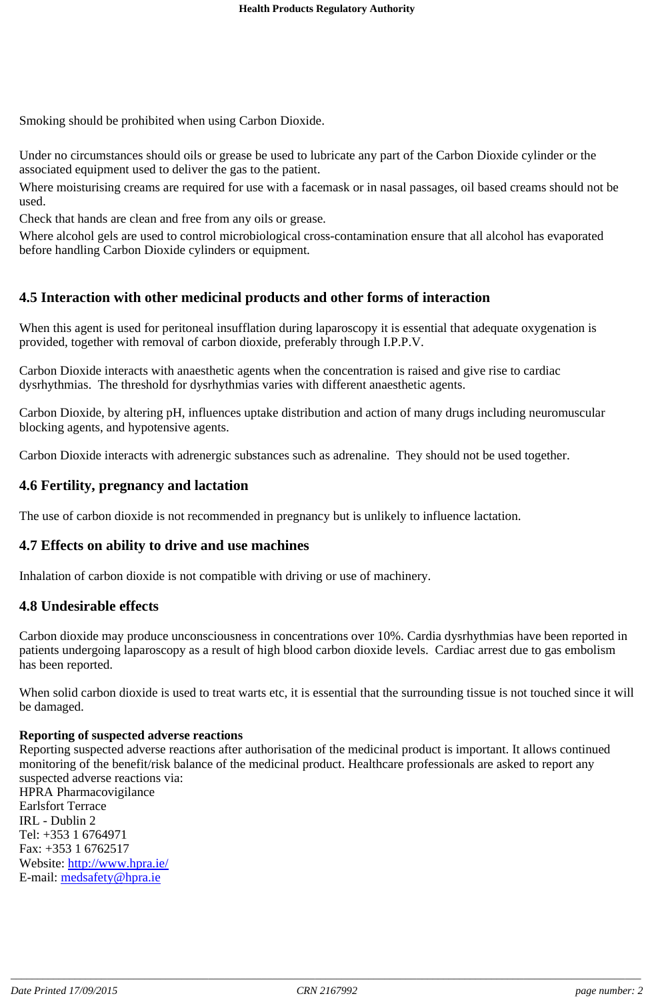Smoking should be prohibited when using Carbon Dioxide.

Under no circumstances should oils or grease be used to lubricate any part of the Carbon Dioxide cylinder or the associated equipment used to deliver the gas to the patient.

Where moisturising creams are required for use with a facemask or in nasal passages, oil based creams should not be used.

Check that hands are clean and free from any oils or grease.

Where alcohol gels are used to control microbiological cross-contamination ensure that all alcohol has evaporated before handling Carbon Dioxide cylinders or equipment.

## **4.5 Interaction with other medicinal products and other forms of interaction**

When this agent is used for peritoneal insufflation during laparoscopy it is essential that adequate oxygenation is provided, together with removal of carbon dioxide, preferably through I.P.P.V.

Carbon Dioxide interacts with anaesthetic agents when the concentration is raised and give rise to cardiac dysrhythmias. The threshold for dysrhythmias varies with different anaesthetic agents.

Carbon Dioxide, by altering pH, influences uptake distribution and action of many drugs including neuromuscular blocking agents, and hypotensive agents.

Carbon Dioxide interacts with adrenergic substances such as adrenaline. They should not be used together.

## **4.6 Fertility, pregnancy and lactation**

The use of carbon dioxide is not recommended in pregnancy but is unlikely to influence lactation.

#### **4.7 Effects on ability to drive and use machines**

Inhalation of carbon dioxide is not compatible with driving or use of machinery.

#### **4.8 Undesirable effects**

Carbon dioxide may produce unconsciousness in concentrations over 10%. Cardia dysrhythmias have been reported in patients undergoing laparoscopy as a result of high blood carbon dioxide levels. Cardiac arrest due to gas embolism has been reported.

When solid carbon dioxide is used to treat warts etc, it is essential that the surrounding tissue is not touched since it will be damaged.

#### **Reporting of suspected adverse reactions**

Reporting suspected adverse reactions after authorisation of the medicinal product is important. It allows continued monitoring of the benefit/risk balance of the medicinal product. Healthcare professionals are asked to report any suspected adverse reactions via:

HPRA Pharmacovigilance Earlsfort Terrace IRL - Dublin 2 Tel: +353 1 6764971 Fax: +353 1 6762517 Website: http://www.hpra.ie/ E-mail: medsafety@hpra.ie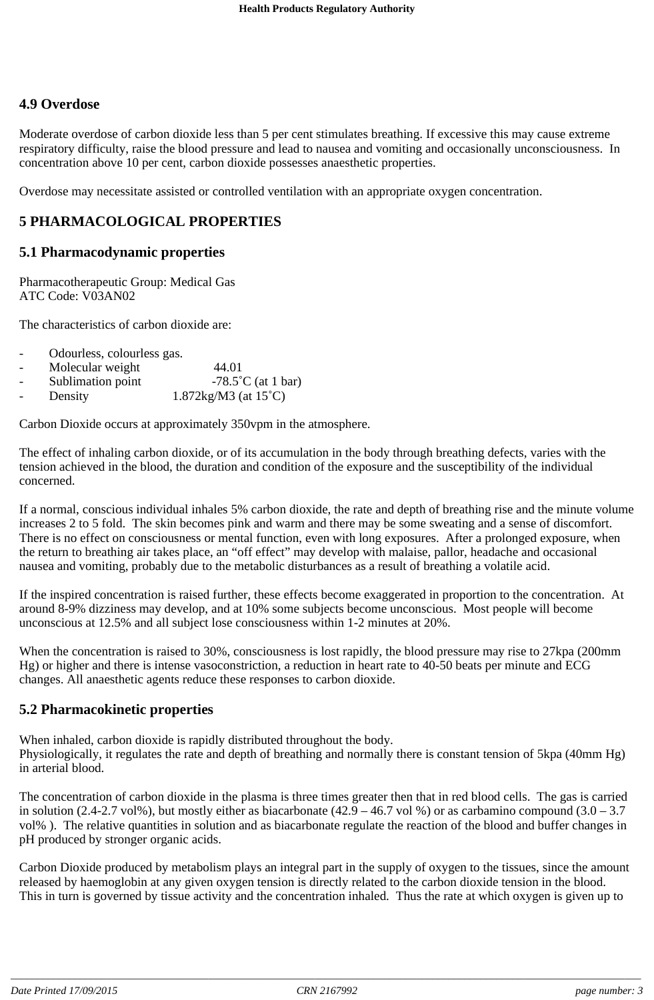## **4.9 Overdose**

Moderate overdose of carbon dioxide less than 5 per cent stimulates breathing. If excessive this may cause extreme respiratory difficulty, raise the blood pressure and lead to nausea and vomiting and occasionally unconsciousness. In concentration above 10 per cent, carbon dioxide possesses anaesthetic properties.

Overdose may necessitate assisted or controlled ventilation with an appropriate oxygen concentration.

## **5 PHARMACOLOGICAL PROPERTIES**

#### **5.1 Pharmacodynamic properties**

Pharmacotherapeutic Group: Medical Gas ATC Code: V03AN02

The characteristics of carbon dioxide are:

- Odourless, colourless gas.
- Molecular weight 44.01
- Sublimation point  $-78.5^{\circ}$ C (at 1 bar)
- Density  $1.872\text{kg/M3}$  (at  $15^{\circ}\text{C}$ )

Carbon Dioxide occurs at approximately 350vpm in the atmosphere.

The effect of inhaling carbon dioxide, or of its accumulation in the body through breathing defects, varies with the tension achieved in the blood, the duration and condition of the exposure and the susceptibility of the individual concerned.

If a normal, conscious individual inhales 5% carbon dioxide, the rate and depth of breathing rise and the minute volume increases 2 to 5 fold. The skin becomes pink and warm and there may be some sweating and a sense of discomfort. There is no effect on consciousness or mental function, even with long exposures. After a prolonged exposure, when the return to breathing air takes place, an "off effect" may develop with malaise, pallor, headache and occasional nausea and vomiting, probably due to the metabolic disturbances as a result of breathing a volatile acid.

If the inspired concentration is raised further, these effects become exaggerated in proportion to the concentration. At around 8-9% dizziness may develop, and at 10% some subjects become unconscious. Most people will become unconscious at 12.5% and all subject lose consciousness within 1-2 minutes at 20%.

When the concentration is raised to 30%, consciousness is lost rapidly, the blood pressure may rise to 27kpa (200mm Hg) or higher and there is intense vasoconstriction, a reduction in heart rate to 40-50 beats per minute and ECG changes. All anaesthetic agents reduce these responses to carbon dioxide.

#### **5.2 Pharmacokinetic properties**

When inhaled, carbon dioxide is rapidly distributed throughout the body. Physiologically, it regulates the rate and depth of breathing and normally there is constant tension of 5kpa (40mm Hg) in arterial blood.

The concentration of carbon dioxide in the plasma is three times greater then that in red blood cells. The gas is carried in solution (2.4-2.7 vol%), but mostly either as biacarbonate (42.9 – 46.7 vol %) or as carbamino compound (3.0 – 3.7 vol% ). The relative quantities in solution and as biacarbonate regulate the reaction of the blood and buffer changes in pH produced by stronger organic acids.

Carbon Dioxide produced by metabolism plays an integral part in the supply of oxygen to the tissues, since the amount released by haemoglobin at any given oxygen tension is directly related to the carbon dioxide tension in the blood. This in turn is governed by tissue activity and the concentration inhaled. Thus the rate at which oxygen is given up to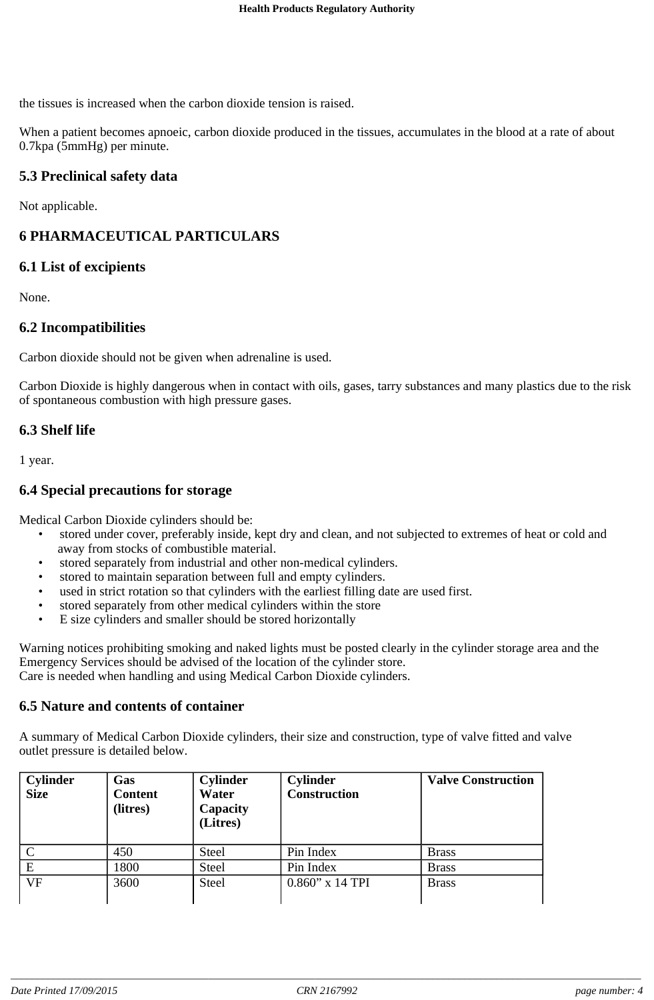the tissues is increased when the carbon dioxide tension is raised.

When a patient becomes apnoeic, carbon dioxide produced in the tissues, accumulates in the blood at a rate of about 0.7kpa (5mmHg) per minute.

## **5.3 Preclinical safety data**

Not applicable.

## **6 PHARMACEUTICAL PARTICULARS**

#### **6.1 List of excipients**

None.

## **6.2 Incompatibilities**

Carbon dioxide should not be given when adrenaline is used.

Carbon Dioxide is highly dangerous when in contact with oils, gases, tarry substances and many plastics due to the risk of spontaneous combustion with high pressure gases.

#### **6.3 Shelf life**

1 year.

## **6.4 Special precautions for storage**

Medical Carbon Dioxide cylinders should be:

- stored under cover, preferably inside, kept dry and clean, and not subjected to extremes of heat or cold and away from stocks of combustible material.
- stored separately from industrial and other non-medical cylinders.
- stored to maintain separation between full and empty cylinders.
- used in strict rotation so that cylinders with the earliest filling date are used first.
- stored separately from other medical cylinders within the store
- E size cylinders and smaller should be stored horizontally

Warning notices prohibiting smoking and naked lights must be posted clearly in the cylinder storage area and the Emergency Services should be advised of the location of the cylinder store. Care is needed when handling and using Medical Carbon Dioxide cylinders.

#### **6.5 Nature and contents of container**

A summary of Medical Carbon Dioxide cylinders, their size and construction, type of valve fitted and valve outlet pressure is detailed below.

| <b>Cylinder</b><br><b>Size</b> | Gas<br><b>Content</b><br>(litres) | <b>Cylinder</b><br>Water<br>Capacity<br>(Litres) | <b>Cylinder</b><br><b>Construction</b> | <b>Valve Construction</b> |
|--------------------------------|-----------------------------------|--------------------------------------------------|----------------------------------------|---------------------------|
|                                | 450                               | <b>Steel</b>                                     | Pin Index                              | <b>Brass</b>              |
| E                              | 1800                              | <b>Steel</b>                                     | Pin Index                              | <b>Brass</b>              |
| <b>VF</b>                      | 3600                              | <b>Steel</b>                                     | $0.860$ " x 14 TPI                     | <b>Brass</b>              |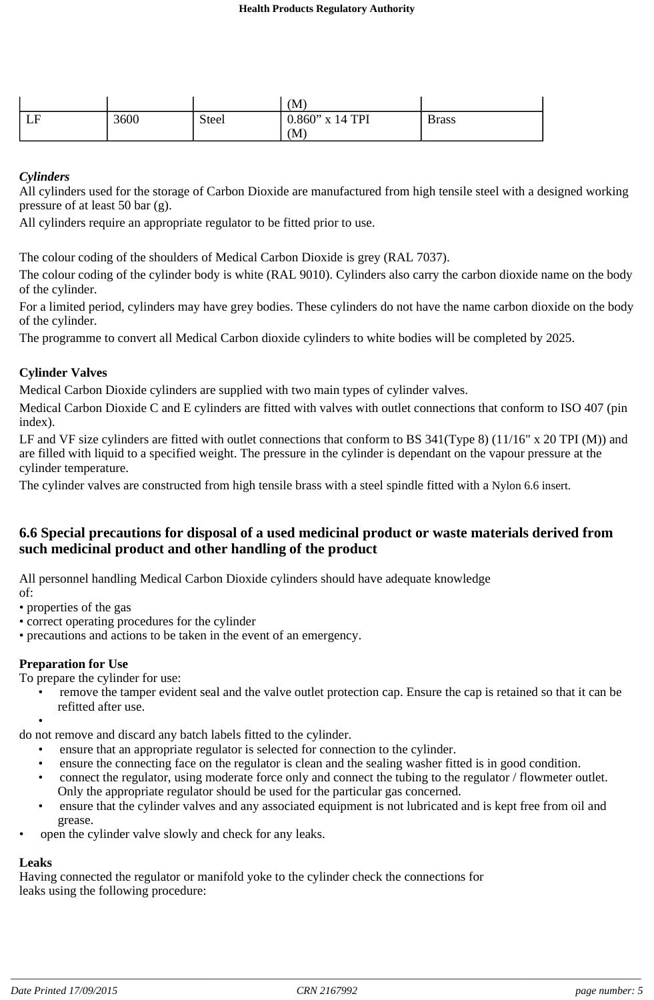|           |      |              | (M)                |              |
|-----------|------|--------------|--------------------|--------------|
| I E<br>பட | 3600 | <b>Steel</b> | $0.860$ " x 14 TPI | <b>Brass</b> |
|           |      |              | (M)                |              |

#### *Cylinders*

All cylinders used for the storage of Carbon Dioxide are manufactured from high tensile steel with a designed working pressure of at least 50 bar (g).

All cylinders require an appropriate regulator to be fitted prior to use.

The colour coding of the shoulders of Medical Carbon Dioxide is grey (RAL 7037).

The colour coding of the cylinder body is white (RAL 9010). Cylinders also carry the carbon dioxide name on the body of the cylinder.

For a limited period, cylinders may have grey bodies. These cylinders do not have the name carbon dioxide on the body of the cylinder.

The programme to convert all Medical Carbon dioxide cylinders to white bodies will be completed by 2025.

#### **Cylinder Valves**

Medical Carbon Dioxide cylinders are supplied with two main types of cylinder valves.

Medical Carbon Dioxide C and E cylinders are fitted with valves with outlet connections that conform to ISO 407 (pin index).

LF and VF size cylinders are fitted with outlet connections that conform to BS 341(Type 8) (11/16" x 20 TPI (M)) and are filled with liquid to a specified weight. The pressure in the cylinder is dependant on the vapour pressure at the cylinder temperature.

The cylinder valves are constructed from high tensile brass with a steel spindle fitted with a Nylon 6.6 insert.

#### **6.6 Special precautions for disposal of a used medicinal product or waste materials derived from such medicinal product and other handling of the product**

All personnel handling Medical Carbon Dioxide cylinders should have adequate knowledge of:

- properties of the gas
- correct operating procedures for the cylinder
- precautions and actions to be taken in the event of an emergency.

#### **Preparation for Use**

To prepare the cylinder for use:

- remove the tamper evident seal and the valve outlet protection cap. Ensure the cap is retained so that it can be refitted after use.
- •

do not remove and discard any batch labels fitted to the cylinder.

- ensure that an appropriate regulator is selected for connection to the cylinder.
- ensure the connecting face on the regulator is clean and the sealing washer fitted is in good condition.
- connect the regulator, using moderate force only and connect the tubing to the regulator / flowmeter outlet. Only the appropriate regulator should be used for the particular gas concerned.
- ensure that the cylinder valves and any associated equipment is not lubricated and is kept free from oil and grease.
- open the cylinder valve slowly and check for any leaks.

## **Leaks**

Having connected the regulator or manifold yoke to the cylinder check the connections for leaks using the following procedure: